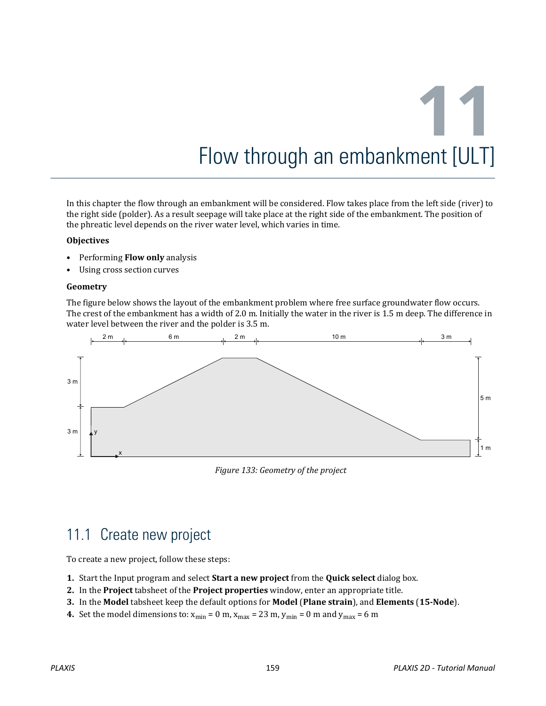In this chapter the flow through an embankment will be considered. Flow takes place from the left side (river) to the right side (polder). As a result seepage will take place at the right side of the embankment. The position of the phreatic level depends on the river water level, which varies in time.

#### **Objectives**

- Performing **Flow only** analysis
- Using cross section curves

#### **Geometry**

The figure below shows the layout of the embankment problem where free surface groundwater flow occurs. The crest of the embankment has a width of 2.0 m. Initially the water in the river is 1.5 m deep. The difference in water level between the river and the polder is 3.5 m.



*Figure 133: Geometry of the project*

## 11.1 Create new project

To create a new project, follow these steps:

- **1.** Start the Input program and select **Start a new project** from the **Quick select** dialog box.
- **2.** In the **Project** tabsheet of the **Project properties** window, enter an appropriate title.
- **3.** In the **Model** tabsheet keep the default options for **Model** (**Plane strain**), and **Elements** (**15-Node**).
- **4.** Set the model dimensions to:  $x_{min} = 0$  m,  $x_{max} = 23$  m,  $y_{min} = 0$  m and  $y_{max} = 6$  m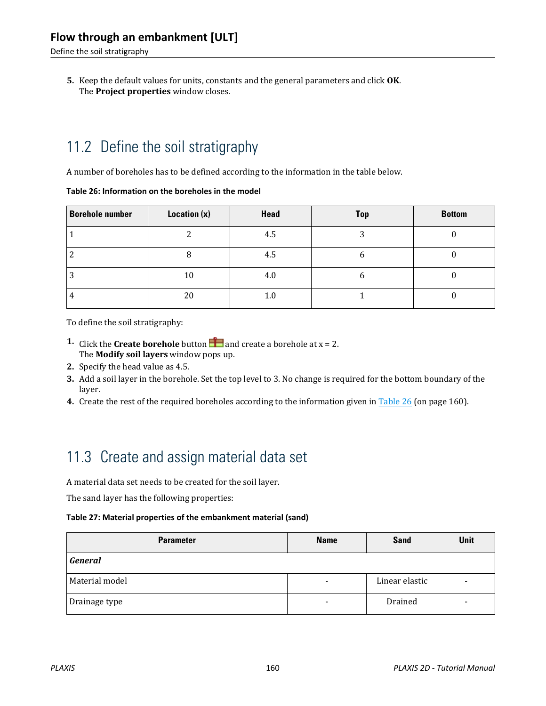Define the soil stratigraphy

**5.** Keep the default values for units, constants and the general parameters and click **OK**. The **Project properties** window closes.

# 11.2 Define the soil stratigraphy

A number of boreholes has to be defined according to the information in the table below.

#### **Table 26: Information on the boreholes in the model**

| <b>Borehole number</b> | Location $(x)$ | Head | <b>Top</b> | <b>Bottom</b> |
|------------------------|----------------|------|------------|---------------|
|                        |                | 4.5  | . .        |               |
|                        |                | 4.5  |            |               |
|                        | 10             | 4.0  | h          |               |
|                        | 20             | 1.0  |            |               |

To define the soil stratigraphy:

- **1.** Click the **Create borehole** button **a** and create a borehole at  $x = 2$ . The **Modify soil layers** window pops up.
- **2.** Specify the head value as 4.5.
- **3.** Add a soil layer in the borehole. Set the top level to 3. No change is required for the bottom boundary of the layer.
- **4.** Create the rest of the required boreholes according to the information given in Table 26 (on page 160).

# 11.3 Create and assign material data set

A material data set needs to be created for the soil layer.

The sand layer has the following properties:

#### **Table 27: Material properties of the embankment material (sand)**

| <b>Parameter</b> | <b>Name</b>              | <b>Sand</b>    | Unit |
|------------------|--------------------------|----------------|------|
| <b>General</b>   |                          |                |      |
| Material model   | $\overline{\phantom{0}}$ | Linear elastic |      |
| Drainage type    | -                        | Drained        |      |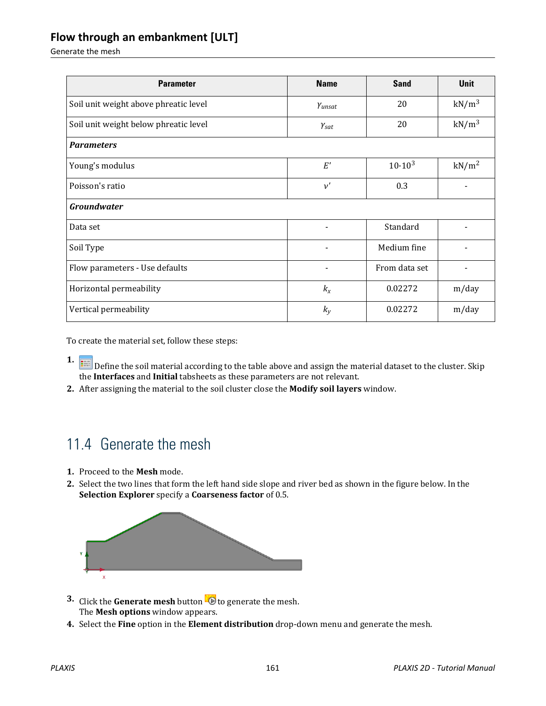Generate the mesh

| <b>Parameter</b>                      | <b>Name</b>             | <b>Sand</b>   | <b>Unit</b>       |
|---------------------------------------|-------------------------|---------------|-------------------|
| Soil unit weight above phreatic level | $Y$ unsat               | 20            | $kN/m^3$          |
| Soil unit weight below phreatic level | $\gamma_{\textit{sat}}$ | 20            | $kN/m^3$          |
| <b>Parameters</b>                     |                         |               |                   |
| Young's modulus                       | $E^\prime$              | $10.10^{3}$   | kN/m <sup>2</sup> |
| Poisson's ratio                       | $\nu'$                  | 0.3           |                   |
| <b>Groundwater</b>                    |                         |               |                   |
| Data set                              | $\overline{a}$          | Standard      |                   |
| Soil Type                             | $\blacksquare$          | Medium fine   |                   |
| Flow parameters - Use defaults        | $\overline{a}$          | From data set |                   |
| Horizontal permeability               | $k_{x}$                 | 0.02272       | m/day             |
| Vertical permeability                 | $k_{y}$                 | 0.02272       | m/day             |

To create the material set, follow these steps:

- **1.** Define the soil material according to the table above and assign the material dataset to the cluster. Skip the **Interfaces** and **Initial** tabsheets as these parameters are not relevant.
- **2.** After assigning the material to the soil cluster close the **Modify soil layers** window.

## 11.4 Generate the mesh

- **1.** Proceed to the **Mesh** mode.
- **2.** Select the two lines that form the left hand side slope and river bed as shown in the figure below. In the **Selection Explorer** specify a **Coarseness factor** of 0.5.



- **3.** Click the **Generate mesh** button **to** to generate the mesh. The **Mesh options** window appears.
- **4.** Select the **Fine** option in the **Element distribution** drop-down menu and generate the mesh.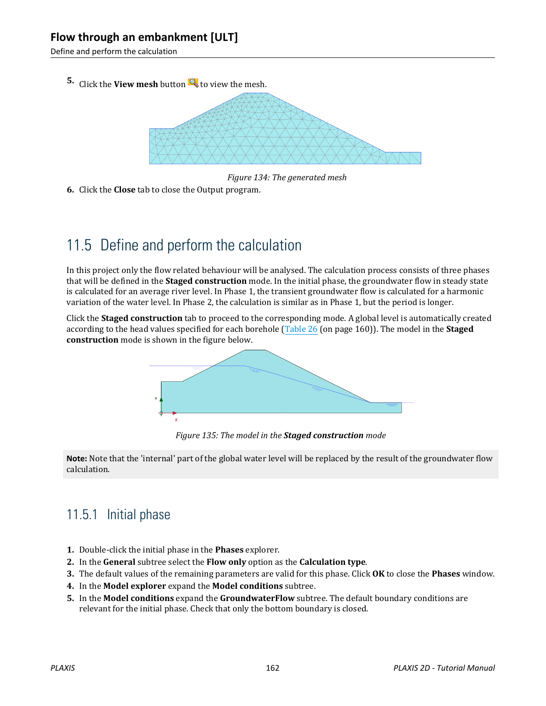Define and perform the calculation

**5.** Click the **View mesh** button **th** to view the mesh.



*Figure 134: The generated mesh*

**6.** Click the **Close** tab to close the Output program.

# 11.5 Define and perform the calculation

In this project only the flow related behaviour will be analysed. The calculation process consists of three phases that will be defined in the **Staged construction** mode. In the initial phase, the groundwater flow in steady state is calculated for an average river level. In Phase 1, the transient groundwater flow is calculated for a harmonic variation of the water level. In Phase 2, the calculation is similar as in Phase 1, but the period is longer.

Click the **Staged construction** tab to proceed to the corresponding mode. A global level is automatically created according to the head values specified for each borehole (Table 26 (on page 160)). The model in the **Staged construction** mode is shown in the figure below.



*Figure 135: The model in the Staged construction mode*

**Note:** Note that the 'internal' part of the global water level will be replaced by the result of the groundwater flow calculation.

## 11.5.1 Initial phase

- **1.** Double-click the initial phase in the **Phases** explorer.
- **2.** In the **General** subtree select the **Flow only** option as the **Calculation type**.
- **3.** The default values of the remaining parameters are valid for this phase. Click **OK** to close the **Phases** window.
- **4.** In the **Model explorer** expand the **Model conditions** subtree.
- **5.** In the **Model conditions** expand the **GroundwaterFlow** subtree. The default boundary conditions are relevant for the initial phase. Check that only the bottom boundary is closed.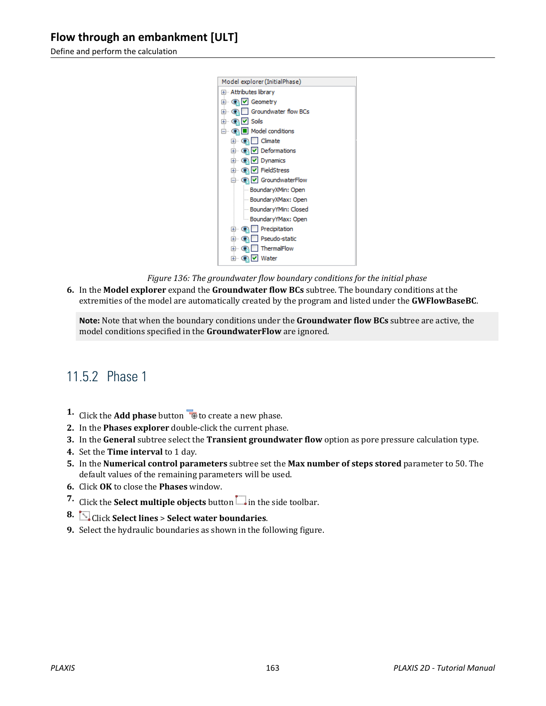Define and perform the calculation



*Figure 136: The groundwater flow boundary conditions for the initial phase*

**6.** In the **Model explorer** expand the **Groundwater flow BCs** subtree. The boundary conditions at the extremities of the model are automatically created by the program and listed under the **GWFlowBaseBC**.

**Note:** Note that when the boundary conditions under the **Groundwater flow BCs** subtree are active, the model conditions specified in the **GroundwaterFlow** are ignored.

## 11.5.2 Phase 1

- **1.** Click the **Add phase** button **to** to create a new phase.
- **2.** In the **Phases explorer** double-click the current phase.
- **3.** In the **General** subtree select the **Transient groundwater flow** option as pore pressure calculation type.
- **4.** Set the **Time interval** to 1 day.
- **5.** In the **Numerical control parameters** subtree set the **Max number of steps stored** parameter to 50. The default values of the remaining parameters will be used.
- **6.** Click **OK** to close the **Phases** window.
- **7.** Click the **Select multiple objects** button  $\Box$  in the side toolbar.
- **8.** Click **Select lines** > **Select water boundaries**.
- **9.** Select the hydraulic boundaries as shown in the following figure.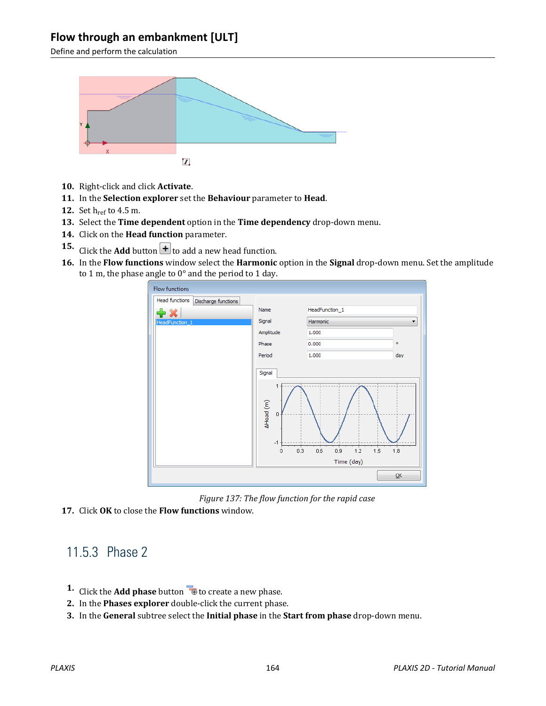Define and perform the calculation



- **10.** Right-click and click **Activate**.
- **11.** In the **Selection explorer** set the **Behaviour** parameter to **Head**.
- **12.** Set h<sub>ref</sub> to 4.5 m.
- **13.** Select the **Time dependent** option in the **Time dependency** drop-down menu.
- **14.** Click on the **Head function** parameter.
- **15.** Click the **Add** button  $\leftarrow$  to add a new head function.
- **16.** In the **Flow functions** window select the **Harmonic** option in the **Signal** drop-down menu. Set the amplitude to 1 m, the phase angle to 0° and the period to 1 day.



*Figure 137: The flow function for the rapid case*

**17.** Click **OK** to close the **Flow functions** window.

## 11.5.3 Phase 2

- **1.** Click the **Add phase** button **the conduct** a new phase.
- **2.** In the **Phases explorer** double-click the current phase.
- **3.** In the **General** subtree select the **Initial phase** in the **Start from phase** drop-down menu.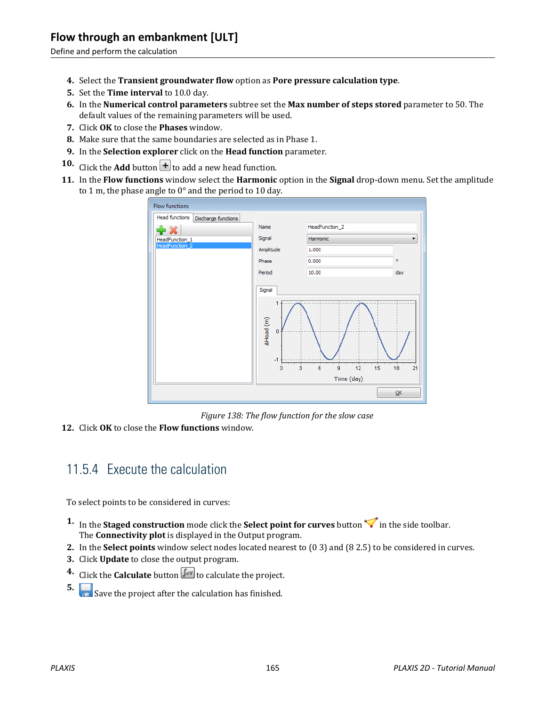Define and perform the calculation

- **4.** Select the **Transient groundwater flow** option as **Pore pressure calculation type**.
- **5.** Set the **Time interval** to 10.0 day.
- **6.** In the **Numerical control parameters** subtree set the **Max number of steps stored** parameter to 50. The default values of the remaining parameters will be used.
- **7.** Click **OK** to close the **Phases** window.
- **8.** Make sure that the same boundaries are selected as in Phase 1.
- **9.** In the **Selection explorer** click on the **Head function** parameter.
- **10.** Click the **Add** button  $\mathbf{t}$  to add a new head function.
- **11.** In the **Flow functions** window select the **Harmonic** option in the **Signal** drop-down menu. Set the amplitude to 1 m, the phase angle to 0° and the period to 10 day.



*Figure 138: The flow function for the slow case*

**12.** Click **OK** to close the **Flow functions** window.

## 11.5.4 Execute the calculation

To select points to be considered in curves:

- **1.** In the **Staged construction** mode click the **Select point for curves** button  $\blacktriangledown$  in the side toolbar. The **Connectivity plot** is displayed in the Output program.
- **2.** In the **Select points** window select nodes located nearest to (0 3) and (8 2.5) to be considered in curves.
- **3.** Click **Update** to close the output program.
- **4.** Click the **Calculate** button  $\begin{bmatrix} \int dV \\ v \end{bmatrix}$  to calculate the project.
- **5. Save the project after the calculation has finished.**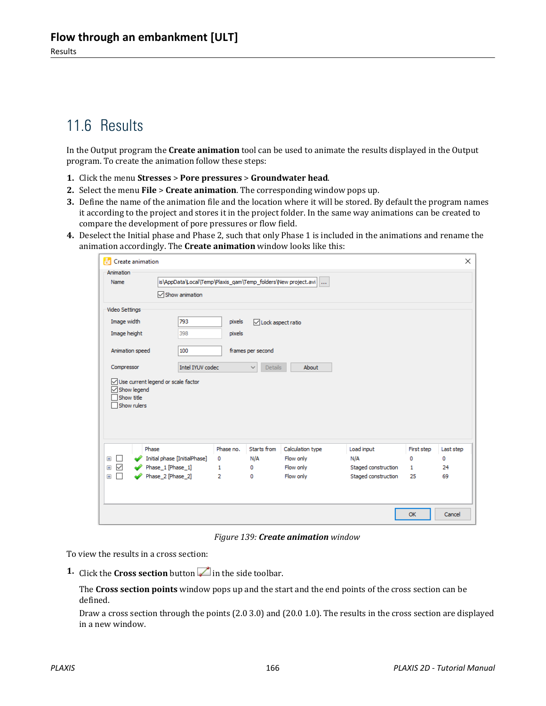## 11.6 Results

In the Output program the **Create animation** tool can be used to animate the results displayed in the Output program. To create the animation follow these steps:

- **1.** Click the menu **Stresses** > **Pore pressures** > **Groundwater head**.
- **2.** Select the menu **File** > **Create animation**. The corresponding window pops up.
- **3.** Define the name of the animation file and the location where it will be stored. By default the program names it according to the project and stores it in the project folder. In the same way animations can be created to compare the development of pore pressures or flow field.
- **4.** Deselect the Initial phase and Phase 2, such that only Phase 1 is included in the animations and rename the animation accordingly. The **Create animation** window looks like this:

| A.<br>Create animation                               |                                                               |           |                                |                        |                     |            | $\times$  |
|------------------------------------------------------|---------------------------------------------------------------|-----------|--------------------------------|------------------------|---------------------|------------|-----------|
| Animation<br>Name                                    | is\AppData\Local\Temp\Plaxis_qam\Temp_folders\New project.avi |           |                                |                        |                     |            |           |
|                                                      | $\sqrt{\ }$ Show animation                                    |           |                                |                        |                     |            |           |
| Video Settings                                       |                                                               |           |                                |                        |                     |            |           |
| Image width                                          | 793                                                           | pixels    | □ Lock aspect ratio            |                        |                     |            |           |
| Image height                                         | 398                                                           | pixels    |                                |                        |                     |            |           |
| Animation speed                                      | 100<br>frames per second                                      |           |                                |                        |                     |            |           |
| Compressor                                           | Intel IYUV codec                                              |           | <b>Details</b><br>$\checkmark$ | About                  |                     |            |           |
| $\sqrt{\ }$ Show legend<br>Show title<br>Show rulers | Use current legend or scale factor                            |           |                                |                        |                     |            |           |
| Phase                                                |                                                               | Phase no. | Starts from                    | Calculation type       | Load input          | First step | Last step |
| $\pm$                                                | Initial phase [InitialPhase]                                  | 0         | N/A                            | Flow only              | N/A                 | 0          | 0         |
| $\checkmark$<br>$\pm$<br>$+$                         | Phase_1 [Phase_1]                                             | 1         | 0<br>0                         | Flow only<br>Flow only | Staged construction | 1<br>25    | 24<br>69  |
|                                                      | Phase_2 [Phase_2]                                             | 2         |                                |                        | Staged construction |            |           |

*Figure 139: Create animation window*

To view the results in a cross section:

**1.** Click the **Cross section** button in the side toolbar.

The **Cross section points** window pops up and the start and the end points of the cross section can be defined.

Draw a cross section through the points (2.0 3.0) and (20.0 1.0). The results in the cross section are displayed in a new window.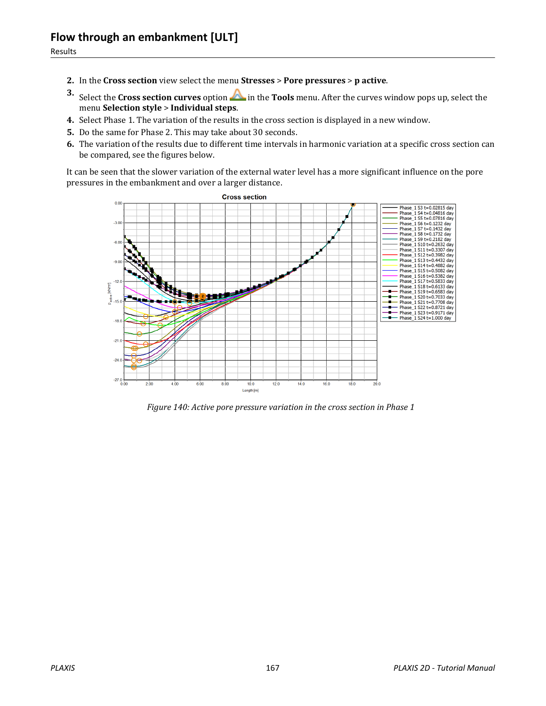- **2.** In the **Cross section** view select the menu **Stresses** > **Pore pressures** > **p active**.
- **3.** Select the **Cross section curves** option  $\triangle$  in the **Tools** menu. After the curves window pops up, select the menu **Selection style** > **Individual steps**.
- **4.** Select Phase 1. The variation of the results in the cross section is displayed in a new window.
- **5.** Do the same for Phase 2. This may take about 30 seconds.
- **6.** The variation of the results due to different time intervals in harmonic variation at a specific cross section can be compared, see the figures below.

It can be seen that the slower variation of the external water level has a more significant influence on the pore pressures in the embankment and over a larger distance.



*Figure 140: Active pore pressure variation in the cross section in Phase 1*